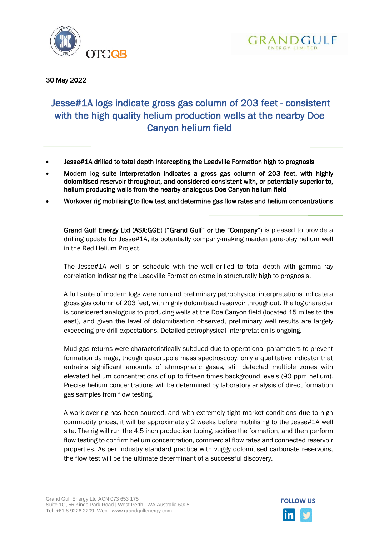



30 May 2022

# Jesse#1A logs indicate gross gas column of 203 feet - consistent with the high quality helium production wells at the nearby Doe Canyon helium field

- Jesse#1A drilled to total depth intercepting the Leadville Formation high to prognosis
- Modern log suite interpretation indicates a gross gas column of 203 feet, with highly dolomitised reservoir throughout, and considered consistent with, or potentially superior to, helium producing wells from the nearby analogous Doe Canyon helium field
- Workover rig mobilising to flow test and determine gas flow rates and helium concentrations

Grand Gulf Energy Ltd (ASX:GGE) ("Grand Gulf" or the "Company") is pleased to provide a drilling update for Jesse#1A, its potentially company-making maiden pure-play helium well in the Red Helium Project.

The Jesse#1A well is on schedule with the well drilled to total depth with gamma ray correlation indicating the Leadville Formation came in structurally high to prognosis.

A full suite of modern logs were run and preliminary petrophysical interpretations indicate a gross gas column of 203 feet, with highly dolomitised reservoir throughout. The log character is considered analogous to producing wells at the Doe Canyon field (located 15 miles to the east), and given the level of dolomitisation observed, preliminary well results are largely exceeding pre-drill expectations. Detailed petrophysical interpretation is ongoing.

Mud gas returns were characteristically subdued due to operational parameters to prevent formation damage, though quadrupole mass spectroscopy, only a qualitative indicator that entrains significant amounts of atmospheric gases, still detected multiple zones with elevated helium concentrations of up to fifteen times background levels (90 ppm helium). Precise helium concentrations will be determined by laboratory analysis of direct formation gas samples from flow testing.

A work-over rig has been sourced, and with extremely tight market conditions due to high commodity prices, it will be approximately 2 weeks before mobilising to the Jesse#1A well site. The rig will run the 4.5 inch production tubing, acidise the formation, and then perform flow testing to confirm helium concentration, commercial flow rates and connected reservoir properties. As per industry standard practice with vuggy dolomitised carbonate reservoirs, the flow test will be the ultimate determinant of a successful discovery.

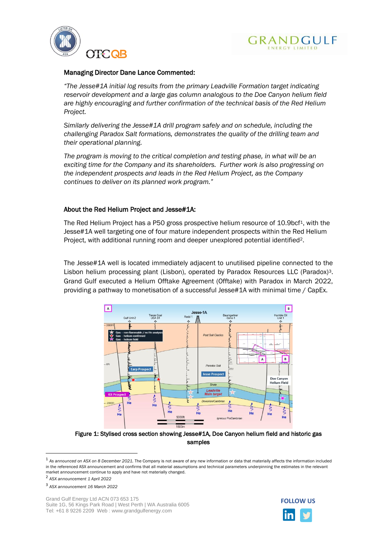



## Managing Director Dane Lance Commented:

*"The Jesse#1A initial log results from the primary Leadville Formation target indicating reservoir development and a large gas column analogous to the Doe Canyon helium field are highly encouraging and further confirmation of the technical basis of the Red Helium Project.*

*Similarly delivering the Jesse#1A drill program safely and on schedule, including the challenging Paradox Salt formations, demonstrates the quality of the drilling team and their operational planning.* 

*The program is moving to the critical completion and testing phase, in what will be an exciting time for the Company and its shareholders. Further work is also progressing on the independent prospects and leads in the Red Helium Project, as the Company continues to deliver on its planned work program."*

# About the Red Helium Project and Jesse#1A:

The Red Helium Project has a P50 gross prospective helium resource of 10.9bcf<sup>1</sup>, with the Jesse#1A well targeting one of four mature independent prospects within the Red Helium Project, with additional running room and deeper unexplored potential identified2.

The Jesse#1A well is located immediately adjacent to unutilised pipeline connected to the Lisbon helium processing plant (Lisbon), operated by Paradox Resources LLC (Paradox)<sup>3</sup>. Grand Gulf executed a Helium Offtake Agreement (Offtake) with Paradox in March 2022, providing a pathway to monetisation of a successful Jesse#1A with minimal time / CapEx.



Figure 1: Stylised cross section showing Jesse#1A, Doe Canyon helium field and historic gas samples



<sup>1</sup> *As announced on ASX on 8 December 2021.* The Company is not aware of any new information or data that materially affects the information included in the referenced ASX announcement and confirms that all material assumptions and technical parameters underpinning the estimates in the relevant market announcement continue to apply and have not materially changed.

<sup>2</sup> *ASX announcement 1 April 2022*

<sup>3</sup> *ASX announcement 16 March 2022*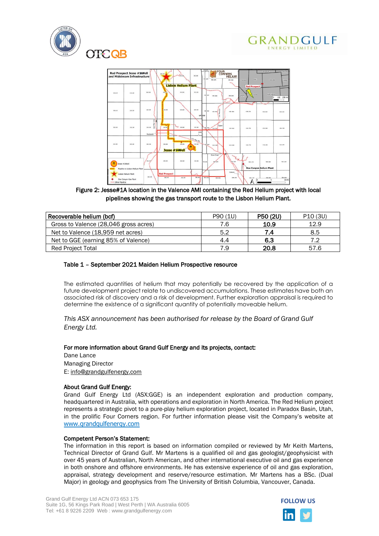





Figure 2: Jesse#1A location in the Valence AMI containing the Red Helium project with local pipelines showing the gas transport route to the Lisbon Helium Plant.

| Recoverable helium (bcf)              | P90 (1U) | P50 (2U) | P <sub>10</sub> (3U) |
|---------------------------------------|----------|----------|----------------------|
| Gross to Valence (28,046 gross acres) | 7.6      | 10.9     | 12.9                 |
| Net to Valence (18,959 net acres)     | 5.2      | 7.4      | 8.5                  |
| Net to GGE (earning 85% of Valence)   | 4.4      | 6.3      | 7 2                  |
| <b>Red Project Total</b>              | 7.9      | 20.8     | 57.6                 |

#### Table 1 – September 2021 Maiden Helium Prospective resource

The estimated quantities of helium that may potentially be recovered by the application of a future development project relate to undiscovered accumulations. These estimates have both an associated risk of discovery and a risk of development. Further exploration appraisal is required to determine the existence of a significant quantity of potentially moveable helium.

### *This ASX announcement has been authorised for release by the Board of Grand Gulf Energy Ltd.*

#### For more information about Grand Gulf Energy and its projects, contact:

Dane Lance Managing Director E: [info@grandgulfenergy.com](mailto:info@grandgulfenergy.com)

#### About Grand Gulf Energy:

Grand Gulf Energy Ltd (ASX:GGE) is an independent exploration and production company, headquartered in Australia, with operations and exploration in North America. The Red Helium project represents a strategic pivot to a pure-play helium exploration project, located in Paradox Basin, Utah, in the prolific Four Corners region. For further information please visit the Company's website at [www.grandgulfenergy.com](https://urldefense.proofpoint.com/v2/url?u=http-3A__www.grandgulfenergy.com_&d=DwMFAg&c=euGZstcaTDllvimEN8b7jXrwqOf-v5A_CdpgnVfiiMM&r=BfaCdXFdq7mPw0NJn2GjDJEErD4zvl-GywYRXjMLx-k&m=YrkeQmQuISfbQxLGZum2VC-dEwDW__c_Tb_3pcS3wrc&s=XfHef45CbHv6UHyfoGPlNFyNakBmSdCllRzOriFL96k&e=)

#### Competent Person's Statement:

The information in this report is based on information compiled or reviewed by Mr Keith Martens, Technical Director of Grand Gulf. Mr Martens is a qualified oil and gas geologist/geophysicist with over 45 years of Australian, North American, and other international executive oil and gas experience in both onshore and offshore environments. He has extensive experience of oil and gas exploration, appraisal, strategy development and reserve/resource estimation. Mr Martens has a BSc. (Dual Major) in geology and geophysics from The University of British Columbia, Vancouver, Canada.